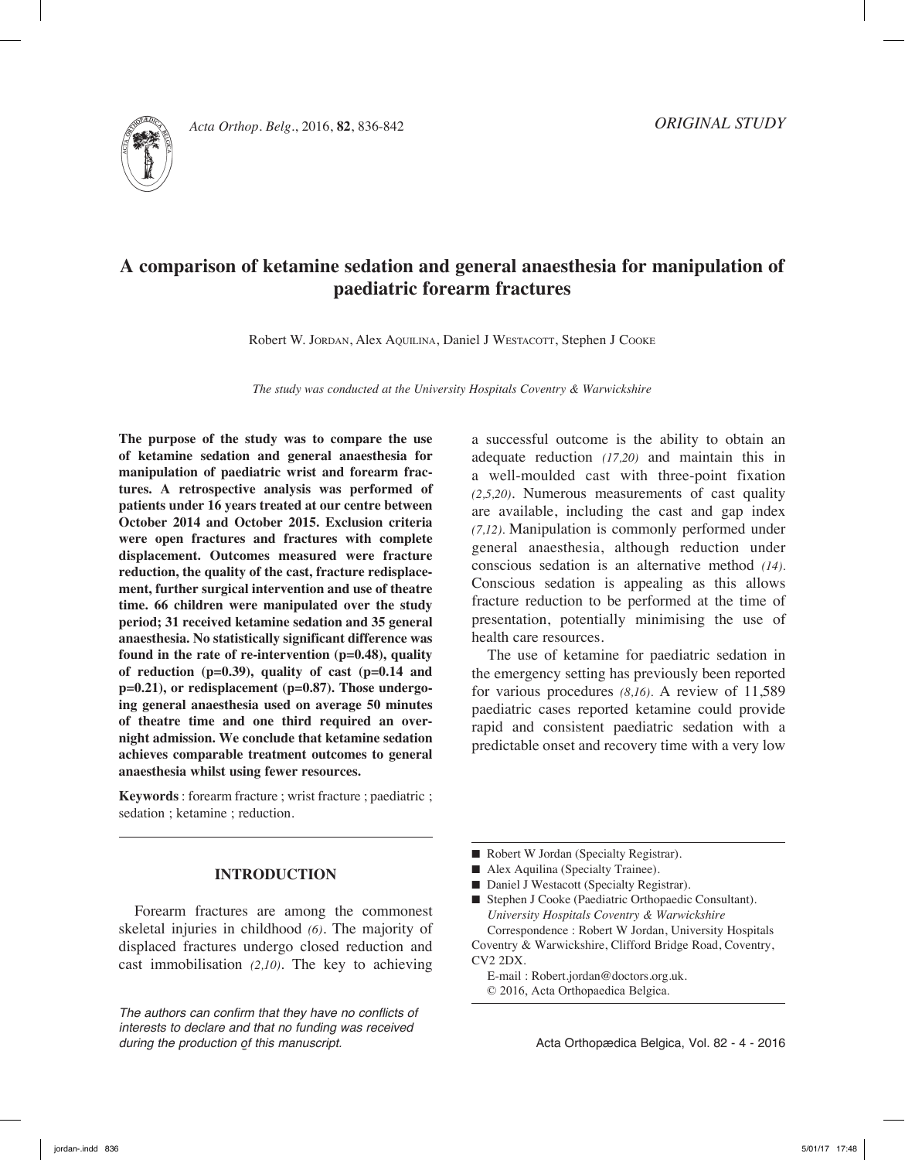

# **A comparison of ketamine sedation and general anaesthesia for manipulation of paediatric forearm fractures**

Robert W. JORDAN, Alex AQUILINA, Daniel J WESTACOTT, Stephen J COOKE

*The study was conducted at the University Hospitals Coventry & Warwickshire*

**The purpose of the study was to compare the use of ketamine sedation and general anaesthesia for manipulation of paediatric wrist and forearm fractures. A retrospective analysis was performed of patients under 16 years treated at our centre between October 2014 and October 2015. Exclusion criteria were open fractures and fractures with complete displacement. Outcomes measured were fracture reduction, the quality of the cast, fracture redisplacement, further surgical intervention and use of theatre time. 66 children were manipulated over the study period; 31 received ketamine sedation and 35 general anaesthesia. No statistically significant difference was found in the rate of re-intervention (p=0.48), quality of reduction (p=0.39), quality of cast (p=0.14 and p=0.21), or redisplacement (p=0.87). Those undergoing general anaesthesia used on average 50 minutes of theatre time and one third required an overnight admission. We conclude that ketamine sedation achieves comparable treatment outcomes to general anaesthesia whilst using fewer resources.** 

**Keywords** : forearm fracture ; wrist fracture ; paediatric ; sedation ; ketamine ; reduction.

## **Introduction**

Forearm fractures are among the commonest skeletal injuries in childhood *(6)*. The majority of displaced fractures undergo closed reduction and cast immobilisation *(2,10)*. The key to achieving

*The authors can confirm that they have no conflicts of interests to declare and that no funding was received during the production of this manuscript.*

a successful outcome is the ability to obtain an adequate reduction *(17,20)* and maintain this in a well-moulded cast with three-point fixation *(2,5,20)*. Numerous measurements of cast quality are available, including the cast and gap index *(7,12).* Manipulation is commonly performed under general anaesthesia, although reduction under conscious sedation is an alternative method *(14).*  Conscious sedation is appealing as this allows fracture reduction to be performed at the time of presentation, potentially minimising the use of health care resources.

The use of ketamine for paediatric sedation in the emergency setting has previously been reported for various procedures *(8,16).* A review of 11,589 paediatric cases reported ketamine could provide rapid and consistent paediatric sedation with a predictable onset and recovery time with a very low

- Robert W Jordan (Specialty Registrar).
- Alex Aquilina (Specialty Trainee).
- Daniel J Westacott (Specialty Registrar).
- Stephen J Cooke (Paediatric Orthopaedic Consultant). *University Hospitals Coventry & Warwickshire* Correspondence : Robert W Jordan, University Hospitals

Coventry & Warwickshire, Clifford Bridge Road, Coventry, CV2 2DX.

E-mail : Robert.jordan@doctors.org.uk. © 2016, Acta Orthopaedica Belgica.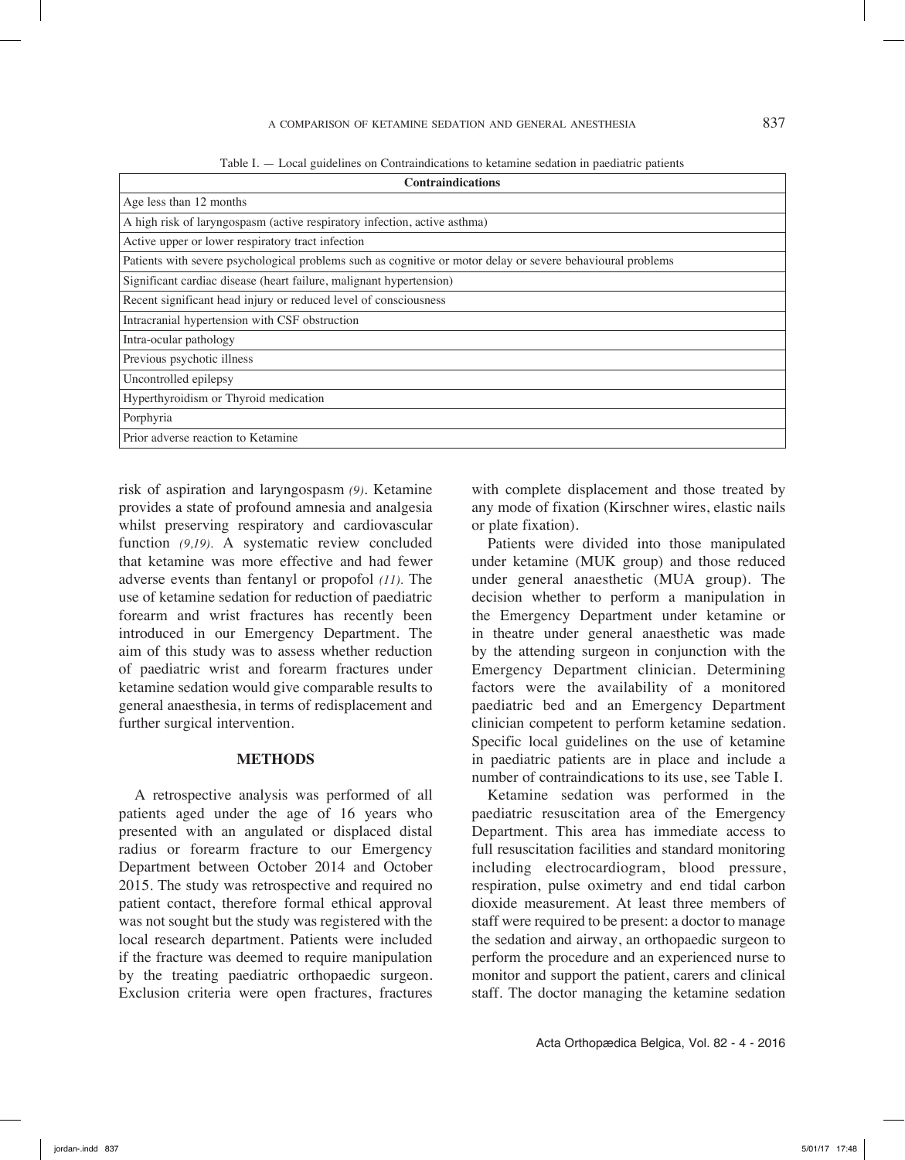## a comparison of ketamine sedation and general anesthesia 837

|  | Table I. — Local guidelines on Contraindications to ketamine sedation in paediatric patients |  |  |
|--|----------------------------------------------------------------------------------------------|--|--|
|  |                                                                                              |  |  |

| <b>Contraindications</b>                                                                                    |  |  |  |  |  |
|-------------------------------------------------------------------------------------------------------------|--|--|--|--|--|
| Age less than 12 months                                                                                     |  |  |  |  |  |
| A high risk of laryngospasm (active respiratory infection, active asthma)                                   |  |  |  |  |  |
| Active upper or lower respiratory tract infection                                                           |  |  |  |  |  |
| Patients with severe psychological problems such as cognitive or motor delay or severe behavioural problems |  |  |  |  |  |
| Significant cardiac disease (heart failure, malignant hypertension)                                         |  |  |  |  |  |
| Recent significant head injury or reduced level of consciousness                                            |  |  |  |  |  |
| Intracranial hypertension with CSF obstruction                                                              |  |  |  |  |  |
| Intra-ocular pathology                                                                                      |  |  |  |  |  |
| Previous psychotic illness                                                                                  |  |  |  |  |  |
| Uncontrolled epilepsy                                                                                       |  |  |  |  |  |
| Hyperthyroidism or Thyroid medication                                                                       |  |  |  |  |  |
| Porphyria                                                                                                   |  |  |  |  |  |
| Prior adverse reaction to Ketamine                                                                          |  |  |  |  |  |

risk of aspiration and laryngospasm *(9)*. Ketamine provides a state of profound amnesia and analgesia whilst preserving respiratory and cardiovascular function (9,19). A systematic review concluded that ketamine was more effective and had fewer adverse events than fentanyl or propofol *(11).* The use of ketamine sedation for reduction of paediatric forearm and wrist fractures has recently been introduced in our Emergency Department. The aim of this study was to assess whether reduction of paediatric wrist and forearm fractures under ketamine sedation would give comparable results to general anaesthesia, in terms of redisplacement and further surgical intervention.

## **Methods**

A retrospective analysis was performed of all patients aged under the age of 16 years who presented with an angulated or displaced distal radius or forearm fracture to our Emergency Department between October 2014 and October 2015. The study was retrospective and required no patient contact, therefore formal ethical approval was not sought but the study was registered with the local research department. Patients were included if the fracture was deemed to require manipulation by the treating paediatric orthopaedic surgeon. Exclusion criteria were open fractures, fractures

with complete displacement and those treated by any mode of fixation (Kirschner wires, elastic nails or plate fixation).

Patients were divided into those manipulated under ketamine (MUK group) and those reduced under general anaesthetic (MUA group). The decision whether to perform a manipulation in the Emergency Department under ketamine or in theatre under general anaesthetic was made by the attending surgeon in conjunction with the Emergency Department clinician. Determining factors were the availability of a monitored paediatric bed and an Emergency Department clinician competent to perform ketamine sedation. Specific local guidelines on the use of ketamine in paediatric patients are in place and include a number of contraindications to its use, see Table I.

Ketamine sedation was performed in the paediatric resuscitation area of the Emergency Department. This area has immediate access to full resuscitation facilities and standard monitoring including electrocardiogram, blood pressure, respiration, pulse oximetry and end tidal carbon dioxide measurement. At least three members of staff were required to be present: a doctor to manage the sedation and airway, an orthopaedic surgeon to perform the procedure and an experienced nurse to monitor and support the patient, carers and clinical staff. The doctor managing the ketamine sedation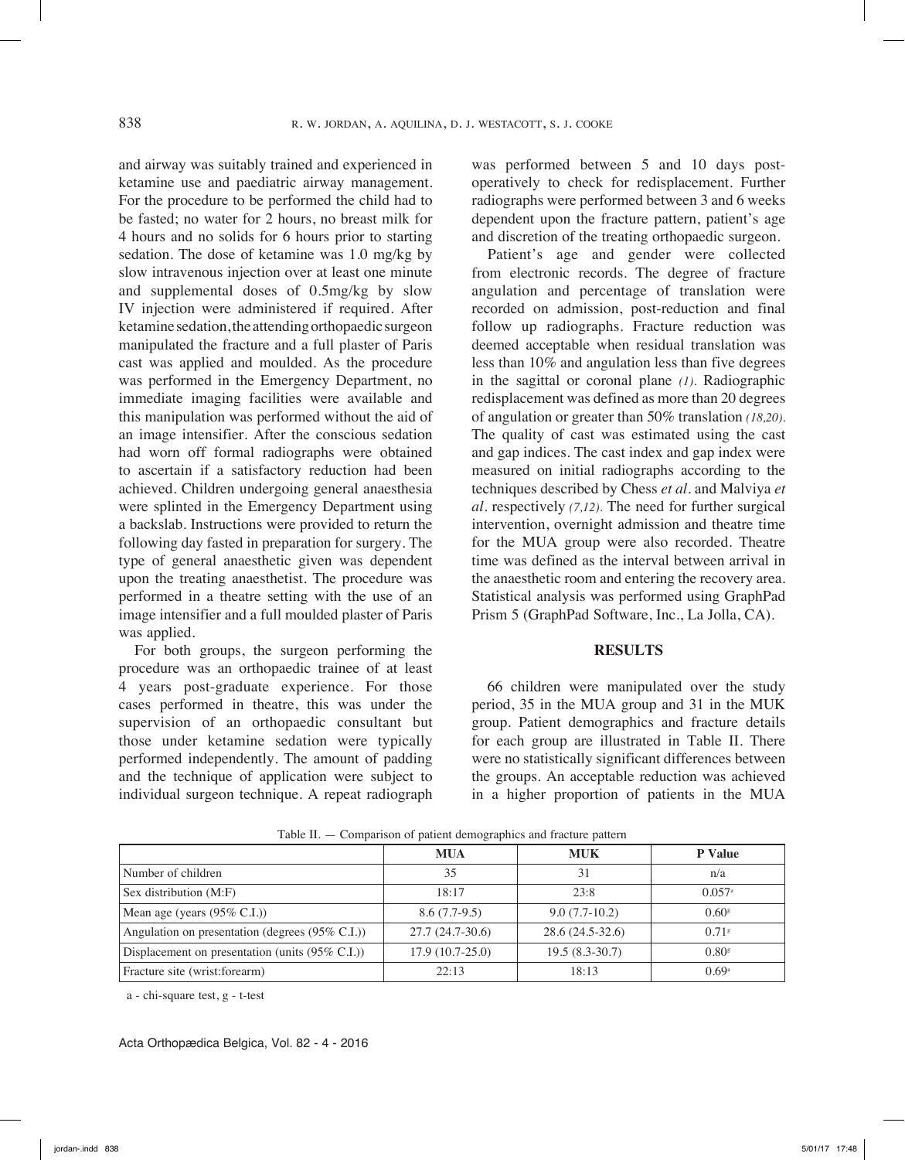and airway was suitably trained and experienced in ketamine use and paediatric airway management. For the procedure to be performed the child had to be fasted; no water for 2 hours, no breast milk for 4 hours and no solids for 6 hours prior to starting sedation. The dose of ketamine was 1.0 mg/kg by slow intravenous injection over at least one minute and supplemental doses of 0.5mg/kg by slow IV injection were administered if required. After ketamine sedation, the attending orthopaedic surgeon manipulated the fracture and a full plaster of Paris cast was applied and moulded. As the procedure was performed in the Emergency Department, no immediate imaging facilities were available and this manipulation was performed without the aid of an image intensifier. After the conscious sedation had worn off formal radiographs were obtained to ascertain if a satisfactory reduction had been achieved. Children undergoing general anaesthesia were splinted in the Emergency Department using a backslab. Instructions were provided to return the following day fasted in preparation for surgery. The type of general anaesthetic given was dependent upon the treating anaesthetist. The procedure was performed in a theatre setting with the use of an image intensifier and a full moulded plaster of Paris was applied.

For both groups, the surgeon performing the procedure was an orthopaedic trainee of at least 4 years post-graduate experience. For those cases performed in theatre, this was under the supervision of an orthopaedic consultant but those under ketamine sedation were typically performed independently. The amount of padding and the technique of application were subject to individual surgeon technique. A repeat radiograph

was performed between 5 and 10 days postoperatively to check for redisplacement. Further radiographs were performed between 3 and 6 weeks dependent upon the fracture pattern, patient's age and discretion of the treating orthopaedic surgeon.

Patient's age and gender were collected from electronic records. The degree of fracture angulation and percentage of translation were recorded on admission, post-reduction and final follow up radiographs. Fracture reduction was deemed acceptable when residual translation was less than 10% and angulation less than five degrees in the sagittal or coronal plane *(1).* Radiographic redisplacement was defined as more than 20 degrees of angulation or greater than 50% translation *(18,20).* The quality of cast was estimated using the cast and gap indices. The cast index and gap index were measured on initial radiographs according to the techniques described by Chess *et al.* and Malviya *et al.* respectively *(7,12).* The need for further surgical intervention, overnight admission and theatre time for the MUA group were also recorded. Theatre time was defined as the interval between arrival in the anaesthetic room and entering the recovery area. Statistical analysis was performed using GraphPad Prism 5 (GraphPad Software, Inc., La Jolla, CA).

#### **Results**

66 children were manipulated over the study period, 35 in the MUA group and 31 in the MUK group. Patient demographics and fracture details for each group are illustrated in Table II. There were no statistically significant differences between the groups. An acceptable reduction was achieved in a higher proportion of patients in the MUA

| $\circ$ 1                                       |                   |                  |                      |  |  |  |
|-------------------------------------------------|-------------------|------------------|----------------------|--|--|--|
|                                                 | <b>MUA</b>        | <b>MUK</b>       | <b>P</b> Value       |  |  |  |
| Number of children                              | 35                | 31               | n/a                  |  |  |  |
| Sex distribution (M:F)                          | 18:17             | 23:8             | $0.057$ <sup>a</sup> |  |  |  |
| Mean age (years $(95\% \text{ C.I.})$ )         | $8.6(7.7-9.5)$    | $9.0(7.7-10.2)$  | $0.60$ <sup>s</sup>  |  |  |  |
| Angulation on presentation (degrees (95% C.I.)) | $27.7(24.7-30.6)$ | 28.6 (24.5-32.6) | $0.71$ <sup>s</sup>  |  |  |  |
| Displacement on presentation (units (95% C.I.)) | $17.9(10.7-25.0)$ | $19.5(8.3-30.7)$ | $0.80$ <sup>s</sup>  |  |  |  |
| Fracture site (wrist: forearm)                  | 22:13             | 18:13            | 0.69 <sup>a</sup>    |  |  |  |

Table II. — Comparison of patient demographics and fracture pattern

a - chi-square test, g - t-test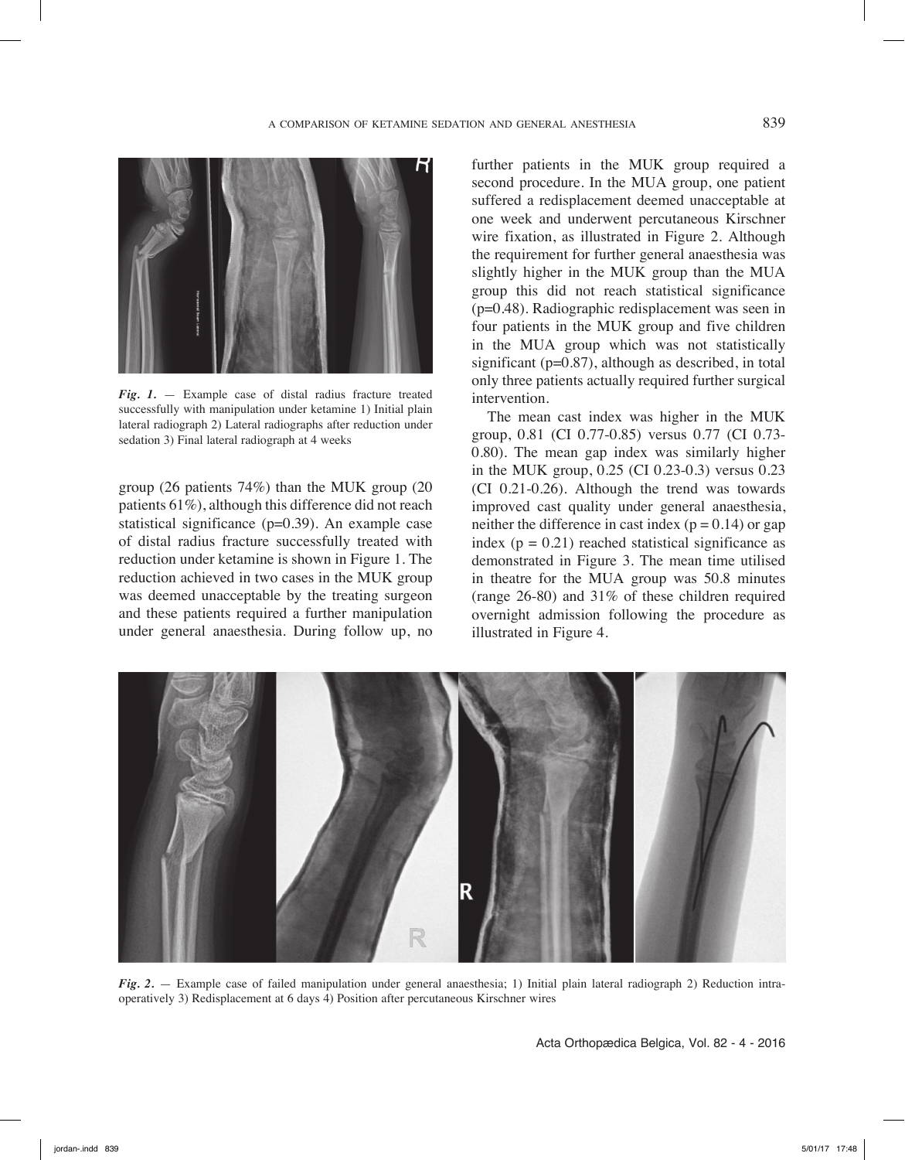

*Fig. 1.* — Example case of distal radius fracture treated successfully with manipulation under ketamine 1) Initial plain lateral radiograph 2) Lateral radiographs after reduction under sedation 3) Final lateral radiograph at 4 weeks

group (26 patients 74%) than the MUK group (20 patients 61%), although this difference did not reach statistical significance (p=0.39). An example case of distal radius fracture successfully treated with reduction under ketamine is shown in Figure 1. The reduction achieved in two cases in the MUK group was deemed unacceptable by the treating surgeon and these patients required a further manipulation under general anaesthesia. During follow up, no further patients in the MUK group required a second procedure. In the MUA group, one patient suffered a redisplacement deemed unacceptable at one week and underwent percutaneous Kirschner wire fixation, as illustrated in Figure 2. Although the requirement for further general anaesthesia was slightly higher in the MUK group than the MUA group this did not reach statistical significance (p=0.48). Radiographic redisplacement was seen in four patients in the MUK group and five children in the MUA group which was not statistically significant ( $p=0.87$ ), although as described, in total only three patients actually required further surgical intervention.

The mean cast index was higher in the MUK group, 0.81 (CI 0.77-0.85) versus 0.77 (CI 0.73- 0.80). The mean gap index was similarly higher in the MUK group, 0.25 (CI 0.23-0.3) versus 0.23 (CI 0.21-0.26). Although the trend was towards improved cast quality under general anaesthesia, neither the difference in cast index  $(p = 0.14)$  or gap index  $(p = 0.21)$  reached statistical significance as demonstrated in Figure 3. The mean time utilised in theatre for the MUA group was 50.8 minutes (range 26-80) and 31% of these children required overnight admission following the procedure as illustrated in Figure 4.



*Fig. 2.* — Example case of failed manipulation under general anaesthesia; 1) Initial plain lateral radiograph 2) Reduction intraoperatively 3) Redisplacement at 6 days 4) Position after percutaneous Kirschner wires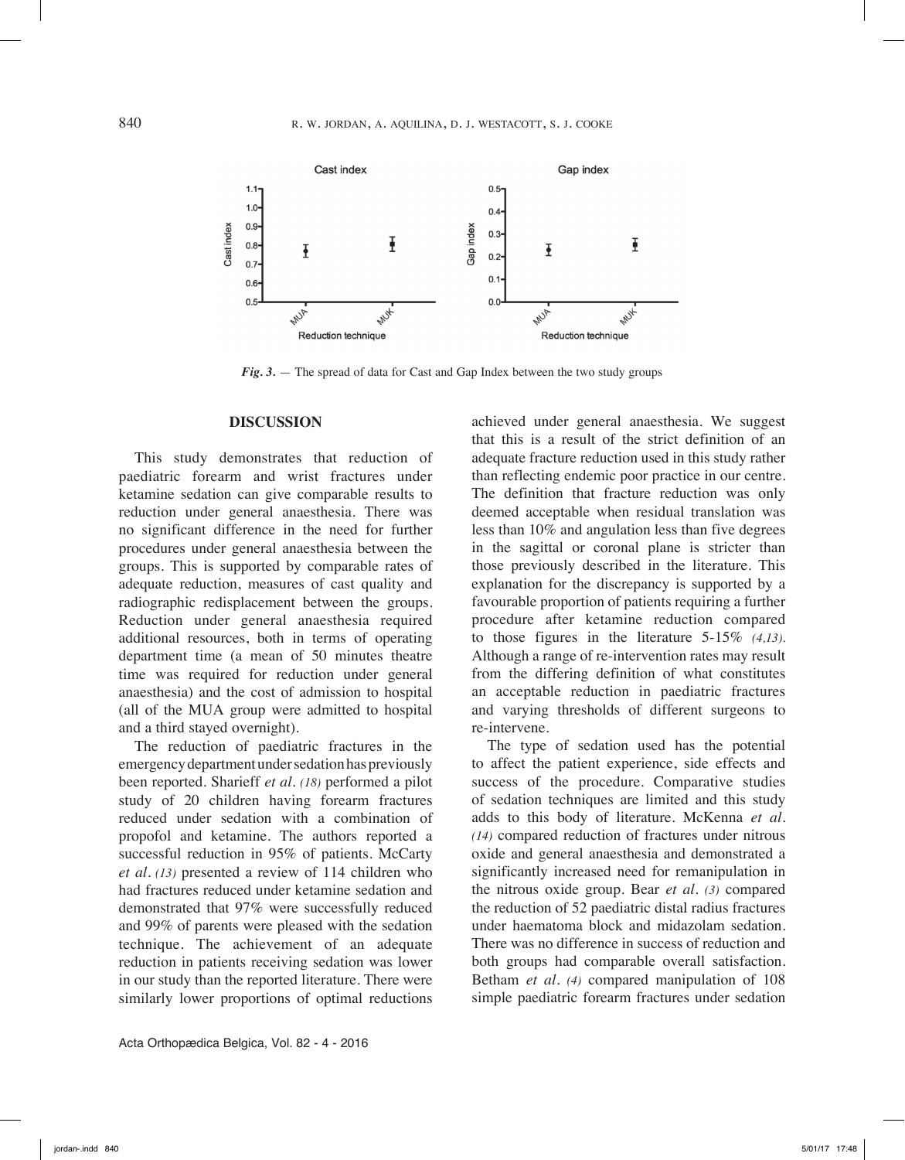

*Fig. 3.* — The spread of data for Cast and Gap Index between the two study groups

## **Discussion**

This study demonstrates that reduction of paediatric forearm and wrist fractures under ketamine sedation can give comparable results to reduction under general anaesthesia. There was no significant difference in the need for further procedures under general anaesthesia between the groups. This is supported by comparable rates of adequate reduction, measures of cast quality and radiographic redisplacement between the groups. Reduction under general anaesthesia required additional resources, both in terms of operating department time (a mean of 50 minutes theatre time was required for reduction under general anaesthesia) and the cost of admission to hospital (all of the MUA group were admitted to hospital and a third stayed overnight).

The reduction of paediatric fractures in the emergency department under sedation has previously been reported. Sharieff *et al. (18)* performed a pilot study of 20 children having forearm fractures reduced under sedation with a combination of propofol and ketamine. The authors reported a successful reduction in 95% of patients. McCarty *et al. (13)* presented a review of 114 children who had fractures reduced under ketamine sedation and demonstrated that 97% were successfully reduced and 99% of parents were pleased with the sedation technique. The achievement of an adequate reduction in patients receiving sedation was lower in our study than the reported literature. There were similarly lower proportions of optimal reductions

Acta Orthopædica Belgica, Vol. 82 - 4 - 2016

achieved under general anaesthesia. We suggest that this is a result of the strict definition of an adequate fracture reduction used in this study rather than reflecting endemic poor practice in our centre. The definition that fracture reduction was only deemed acceptable when residual translation was less than 10% and angulation less than five degrees in the sagittal or coronal plane is stricter than those previously described in the literature. This explanation for the discrepancy is supported by a favourable proportion of patients requiring a further procedure after ketamine reduction compared to those figures in the literature 5-15% *(4,13).* Although a range of re-intervention rates may result from the differing definition of what constitutes an acceptable reduction in paediatric fractures and varying thresholds of different surgeons to re-intervene.

The type of sedation used has the potential to affect the patient experience, side effects and success of the procedure. Comparative studies of sedation techniques are limited and this study adds to this body of literature. McKenna *et al. (14)* compared reduction of fractures under nitrous oxide and general anaesthesia and demonstrated a significantly increased need for remanipulation in the nitrous oxide group. Bear *et al. (3)* compared the reduction of 52 paediatric distal radius fractures under haematoma block and midazolam sedation. There was no difference in success of reduction and both groups had comparable overall satisfaction. Betham *et al. (4)* compared manipulation of 108 simple paediatric forearm fractures under sedation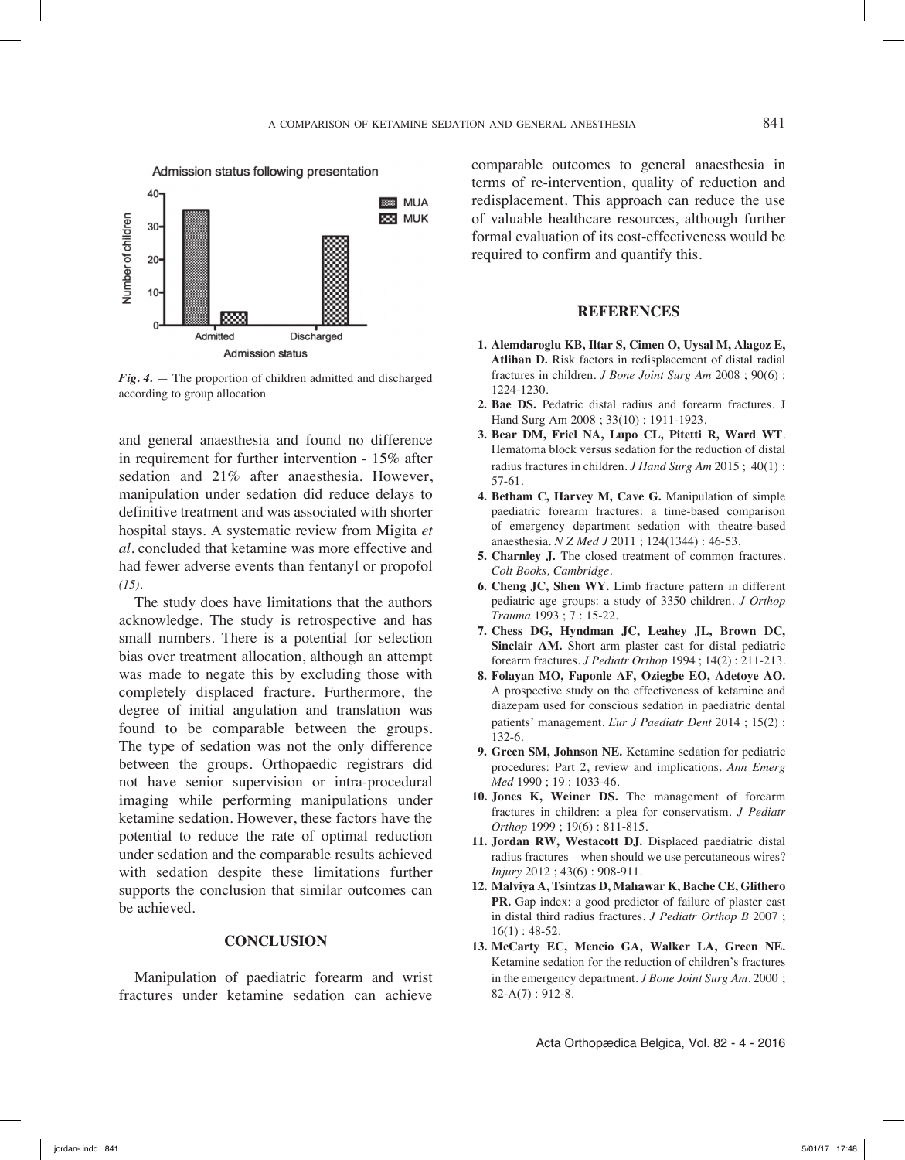

*Fig. 4.* — The proportion of children admitted and discharged according to group allocation

and general anaesthesia and found no difference in requirement for further intervention - 15% after sedation and 21% after anaesthesia. However, manipulation under sedation did reduce delays to definitive treatment and was associated with shorter hospital stays. A systematic review from Migita *et al.* concluded that ketamine was more effective and had fewer adverse events than fentanyl or propofol *(15).*

The study does have limitations that the authors acknowledge. The study is retrospective and has small numbers. There is a potential for selection bias over treatment allocation, although an attempt was made to negate this by excluding those with completely displaced fracture. Furthermore, the degree of initial angulation and translation was found to be comparable between the groups. The type of sedation was not the only difference between the groups. Orthopaedic registrars did not have senior supervision or intra-procedural imaging while performing manipulations under ketamine sedation. However, these factors have the potential to reduce the rate of optimal reduction under sedation and the comparable results achieved with sedation despite these limitations further supports the conclusion that similar outcomes can be achieved.

## **Conclusion**

Manipulation of paediatric forearm and wrist fractures under ketamine sedation can achieve comparable outcomes to general anaesthesia in terms of re-intervention, quality of reduction and redisplacement. This approach can reduce the use of valuable healthcare resources, although further formal evaluation of its cost-effectiveness would be required to confirm and quantify this.

#### **References**

- **1. Alemdaroglu KB, Iltar S, Cimen O, Uysal M, Alagoz E, Atlihan D.** Risk factors in redisplacement of distal radial fractures in children. *J Bone Joint Surg Am* 2008 ; 90(6) : 1224-1230.
- **2. Bae DS.** Pedatric distal radius and forearm fractures. J Hand Surg Am 2008 ; 33(10) : 1911-1923.
- **3. Bear DM, Friel NA, Lupo CL, Pitetti R, Ward WT**. Hematoma block versus sedation for the reduction of distal radius fractures in children. *J Hand Surg Am* 2015 ; 40(1) : 57-61.
- **4. Betham C, Harvey M, Cave G.** Manipulation of simple paediatric forearm fractures: a time-based comparison of emergency department sedation with theatre-based anaesthesia. *N Z Med J* 2011 ; 124(1344) : 46-53.
- **5. Charnley J.** The closed treatment of common fractures. *Colt Books, Cambridge.*
- **6. Cheng JC, Shen WY.** Limb fracture pattern in different pediatric age groups: a study of 3350 children. *J Orthop Trauma* 1993 ; 7 : 15-22.
- **7. Chess DG, Hyndman JC, Leahey JL, Brown DC, Sinclair AM.** Short arm plaster cast for distal pediatric forearm fractures. *J Pediatr Orthop* 1994 ; 14(2) : 211-213.
- **8. Folayan MO, Faponle AF, Oziegbe EO, Adetoye AO.**  A prospective study on the effectiveness of ketamine and diazepam used for conscious sedation in paediatric dental patients' management. *Eur J Paediatr Dent* 2014 ; 15(2) : 132-6.
- **9. Green SM, Johnson NE.** Ketamine sedation for pediatric procedures: Part 2, review and implications. *Ann Emerg Med* 1990 ; 19 : 1033-46.
- **10. Jones K, Weiner DS.** The management of forearm fractures in children: a plea for conservatism. *J Pediatr Orthop* 1999 ; 19(6) : 811-815.
- **11. Jordan RW, Westacott DJ.** Displaced paediatric distal radius fractures – when should we use percutaneous wires? *Injury* 2012 ; 43(6) : 908-911.
- **12. Malviya A, Tsintzas D, Mahawar K, Bache CE, Glithero PR.** Gap index: a good predictor of failure of plaster cast in distal third radius fractures. *J Pediatr Orthop B* 2007 ;  $16(1): 48-52.$
- **13. McCarty EC, Mencio GA, Walker LA, Green NE.**  Ketamine sedation for the reduction of children's fractures in the emergency department. *J Bone Joint Surg Am.* 2000 ;  $82-A(7): 912-8.$